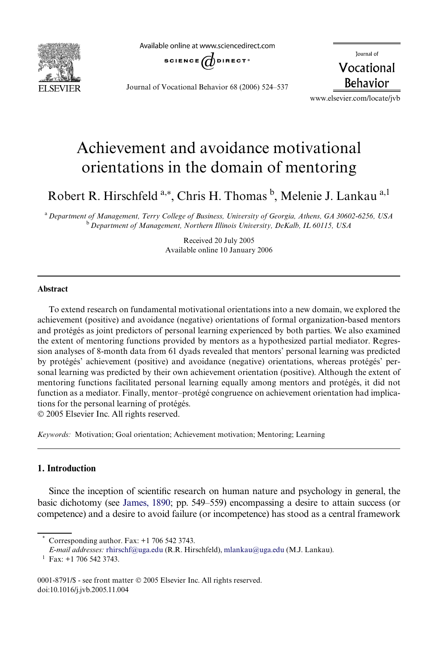

Available online at www.sciencedirect.com



Journal of Vocational Behavior 68 (2006) 524–537

Journal of Vocational **Behavior** 

www.elsevier.com/locate/jvb

# Achievement and avoidance motivational orientations in the domain of mentoring

Robert R. Hirschfeld <sup>a,\*</sup>, Chris H. Thomas <sup>b</sup>, Melenie J. Lankau <sup>a,1</sup>

<sup>a</sup>*Department of Management, Terry College of Business, University of Georgia, Athens, GA 30602-6256, USA* <sup>b</sup>*Department of Management, Northern Illinois University, DeKalb, IL 60115, USA*

> Received 20 July 2005 Available online 10 January 2006

#### **Abstract**

To extend research on fundamental motivational orientations into a new domain, we explored the achievement (positive) and avoidance (negative) orientations of formal organization-based mentors and protégés as joint predictors of personal learning experienced by both parties. We also examined the extent of mentoring functions provided by mentors as a hypothesized partial mediator. Regression analyses of 8-month data from 61 dyads revealed that mentors' personal learning was predicted by protégés' achievement (positive) and avoidance (negative) orientations, whereas protégés' personal learning was predicted by their own achievement orientation (positive). Although the extent of mentoring functions facilitated personal learning equally among mentors and protégés, it did not function as a mediator. Finally, mentor–protégé congruence on achievement orientation had implications for the personal learning of protégés.

© 2005 Elsevier Inc. All rights reserved.

*Keywords:* Motivation; Goal orientation; Achievement motivation; Mentoring; Learning

### **1. Introduction**

Since the inception of scientific research on human nature and psychology in general, the basic dichotomy (see [James, 1890;](#page--1-0) pp. 549–559) encompassing a desire to attain success (or competence) and a desire to avoid failure (or incompetence) has stood as a central framework

Corresponding author. Fax:  $+1$  706 542 3743.

*E-mail addresses:* [rhirschf@uga.edu](mailto: rhirschf@uga.edu) (R.R. Hirschfeld), [mlankau@uga.edu](mailto: mlankau@uga.edu) (M.J. Lankau).

 $^{1}$  Fax: +1 706 542 3743.

<sup>0001-8791/\$ -</sup> see front matter © 2005 Elsevier Inc. All rights reserved. doi:10.1016/j.jvb.2005.11.004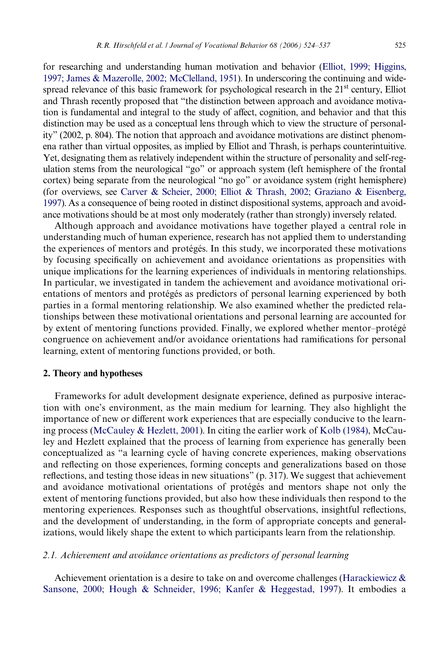for researching and understanding human motivation and behavior [\(Elliot, 1999; Higgins,](#page--1-1) [1997; James & Mazerolle, 2002; McClelland, 1951\)](#page--1-1). In underscoring the continuing and widespread relevance of this basic framework for psychological research in the 21<sup>st</sup> century, Elliot and Thrash recently proposed that "the distinction between approach and avoidance motivation is fundamental and integral to the study of affect, cognition, and behavior and that this distinction may be used as a conceptual lens through which to view the structure of personality" (2002, p. 804). The notion that approach and avoidance motivations are distinct phenomena rather than virtual opposites, as implied by Elliot and Thrash, is perhaps counterintuitive. Yet, designating them as relatively independent within the structure of personality and self-regulation stems from the neurological "go" or approach system (left hemisphere of the frontal cortex) being separate from the neurological "no go" or avoidance system (right hemisphere) (for overviews, see [Carver & Scheier, 2000; Elliot & Thrash, 2002; Graziano & Eisenberg,](#page--1-2) [1997\)](#page--1-2). As a consequence of being rooted in distinct dispositional systems, approach and avoidance motivations should be at most only moderately (rather than strongly) inversely related.

Although approach and avoidance motivations have together played a central role in understanding much of human experience, research has not applied them to understanding the experiences of mentors and protégés. In this study, we incorporated these motivations by focusing specifically on achievement and avoidance orientations as propensities with unique implications for the learning experiences of individuals in mentoring relationships. In particular, we investigated in tandem the achievement and avoidance motivational orientations of mentors and protégés as predictors of personal learning experienced by both parties in a formal mentoring relationship. We also examined whether the predicted relationships between these motivational orientations and personal learning are accounted for by extent of mentoring functions provided. Finally, we explored whether mentor–protégé congruence on achievement and/or avoidance orientations had ramifications for personal learning, extent of mentoring functions provided, or both.

### **2. Theory and hypotheses**

Frameworks for adult development designate experience, defined as purposive interaction with one's environment, as the main medium for learning. They also highlight the importance of new or different work experiences that are especially conducive to the learning process [\(McCauley & Hezlett, 2001](#page--1-3)). In citing the earlier work of [Kolb \(1984\)](#page--1-4), McCauley and Hezlett explained that the process of learning from experience has generally been conceptualized as "a learning cycle of having concrete experiences, making observations and reflecting on those experiences, forming concepts and generalizations based on those reflections, and testing those ideas in new situations" (p. 317). We suggest that achievement and avoidance motivational orientations of protégés and mentors shape not only the extent of mentoring functions provided, but also how these individuals then respond to the mentoring experiences. Responses such as thoughtful observations, insightful reflections, and the development of understanding, in the form of appropriate concepts and generalizations, would likely shape the extent to which participants learn from the relationship.

#### *2.1. Achievement and avoidance orientations as predictors of personal learning*

Achievement orientation is a desire to take on and overcome challenges (Harackiewicz  $\&$ [Sansone, 2000; Hough & Schneider, 1996; Kanfer & Heggestad, 1997\)](#page--1-5). It embodies a